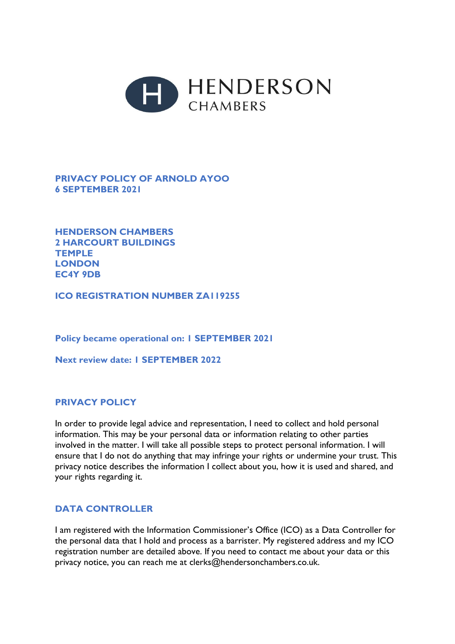

# **PRIVACY POLICY OF ARNOLD AYOO 6 SEPTEMBER 2021**

**HENDERSON CHAMBERS 2 HARCOURT BUILDINGS TEMPLE LONDON EC4Y 9DB**

**ICO REGISTRATION NUMBER ZA119255**

**Policy became operational on: 1 SEPTEMBER 2021**

**Next review date: 1 SEPTEMBER 2022**

#### **PRIVACY POLICY**

In order to provide legal advice and representation, I need to collect and hold personal information. This may be your personal data or information relating to other parties involved in the matter. I will take all possible steps to protect personal information. I will ensure that I do not do anything that may infringe your rights or undermine your trust. This privacy notice describes the information I collect about you, how it is used and shared, and your rights regarding it.

#### **DATA CONTROLLER**

I am registered with the Information Commissioner's Office (ICO) as a Data Controller for the personal data that I hold and process as a barrister. My registered address and my ICO registration number are detailed above. If you need to contact me about your data or this privacy notice, you can reach me at clerks@hendersonchambers.co.uk.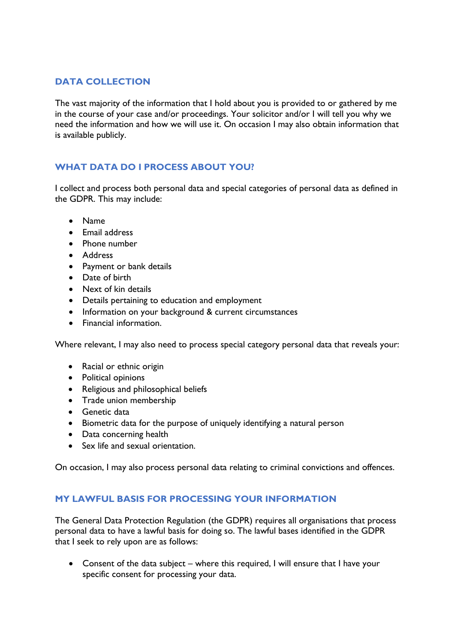# **DATA COLLECTION**

The vast majority of the information that I hold about you is provided to or gathered by me in the course of your case and/or proceedings. Your solicitor and/or I will tell you why we need the information and how we will use it. On occasion I may also obtain information that is available publicly.

# **WHAT DATA DO I PROCESS ABOUT YOU?**

I collect and process both personal data and special categories of personal data as defined in the GDPR. This may include:

- Name
- Email address
- Phone number
- Address
- Payment or bank details
- Date of birth
- Next of kin details
- Details pertaining to education and employment
- Information on your background & current circumstances
- Financial information.

Where relevant, I may also need to process special category personal data that reveals your:

- Racial or ethnic origin
- Political opinions
- Religious and philosophical beliefs
- Trade union membership
- Genetic data
- Biometric data for the purpose of uniquely identifying a natural person
- Data concerning health
- Sex life and sexual orientation.

On occasion, I may also process personal data relating to criminal convictions and offences.

#### **MY LAWFUL BASIS FOR PROCESSING YOUR INFORMATION**

The General Data Protection Regulation (the GDPR) requires all organisations that process personal data to have a lawful basis for doing so. The lawful bases identified in the GDPR that I seek to rely upon are as follows:

• Consent of the data subject – where this required, I will ensure that I have your specific consent for processing your data.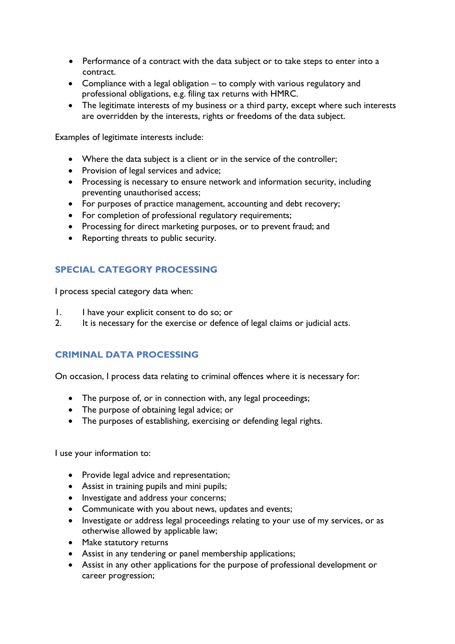- Performance of a contract with the data subject or to take steps to enter into a contract.
- Compliance with a legal obligation to comply with various regulatory and professional obligations, e.g. filing tax returns with HMRC.
- The legitimate interests of my business or a third party, except where such interests are overridden by the interests, rights or freedoms of the data subject.

Examples of legitimate interests include:

- Where the data subject is a client or in the service of the controller;
- Provision of legal services and advice;
- Processing is necessary to ensure network and information security, including preventing unauthorised access;
- For purposes of practice management, accounting and debt recovery;
- For completion of professional regulatory requirements;
- Processing for direct marketing purposes, or to prevent fraud; and
- Reporting threats to public security.

# **SPECIAL CATEGORY PROCESSING**

I process special category data when:

- 1. I have your explicit consent to do so; or
- 2. It is necessary for the exercise or defence of legal claims or judicial acts.

# **CRIMINAL DATA PROCESSING**

On occasion, I process data relating to criminal offences where it is necessary for:

- The purpose of, or in connection with, any legal proceedings;
- The purpose of obtaining legal advice; or
- The purposes of establishing, exercising or defending legal rights.

I use your information to:

- Provide legal advice and representation;
- Assist in training pupils and mini pupils;
- Investigate and address your concerns;
- Communicate with you about news, updates and events;
- Investigate or address legal proceedings relating to your use of my services, or as otherwise allowed by applicable law;
- Make statutory returns
- Assist in any tendering or panel membership applications;
- Assist in any other applications for the purpose of professional development or career progression;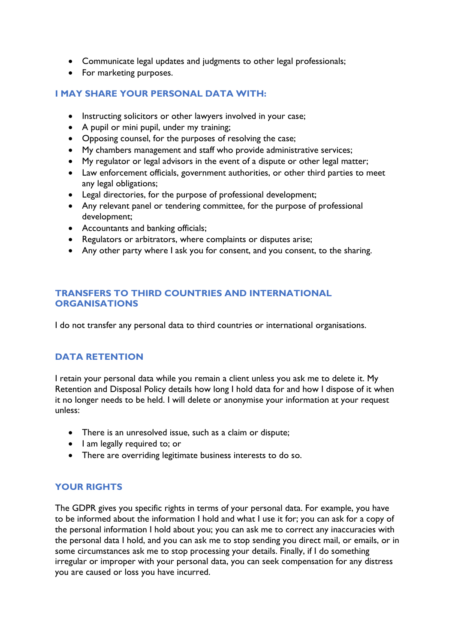- Communicate legal updates and judgments to other legal professionals;
- For marketing purposes.

### **I MAY SHARE YOUR PERSONAL DATA WITH:**

- Instructing solicitors or other lawyers involved in your case;
- A pupil or mini pupil, under my training;
- Opposing counsel, for the purposes of resolving the case;
- My chambers management and staff who provide administrative services;
- My regulator or legal advisors in the event of a dispute or other legal matter;
- Law enforcement officials, government authorities, or other third parties to meet any legal obligations;
- Legal directories, for the purpose of professional development;
- Any relevant panel or tendering committee, for the purpose of professional development;
- Accountants and banking officials;
- Regulators or arbitrators, where complaints or disputes arise;
- Any other party where I ask you for consent, and you consent, to the sharing.

### **TRANSFERS TO THIRD COUNTRIES AND INTERNATIONAL ORGANISATIONS**

I do not transfer any personal data to third countries or international organisations.

#### **DATA RETENTION**

I retain your personal data while you remain a client unless you ask me to delete it. My Retention and Disposal Policy details how long I hold data for and how I dispose of it when it no longer needs to be held. I will delete or anonymise your information at your request unless:

- There is an unresolved issue, such as a claim or dispute;
- I am legally required to; or
- There are overriding legitimate business interests to do so.

# **YOUR RIGHTS**

The GDPR gives you specific rights in terms of your personal data. For example, you have to be informed about the information I hold and what I use it for; you can ask for a copy of the personal information I hold about you; you can ask me to correct any inaccuracies with the personal data I hold, and you can ask me to stop sending you direct mail, or emails, or in some circumstances ask me to stop processing your details. Finally, if I do something irregular or improper with your personal data, you can seek compensation for any distress you are caused or loss you have incurred.